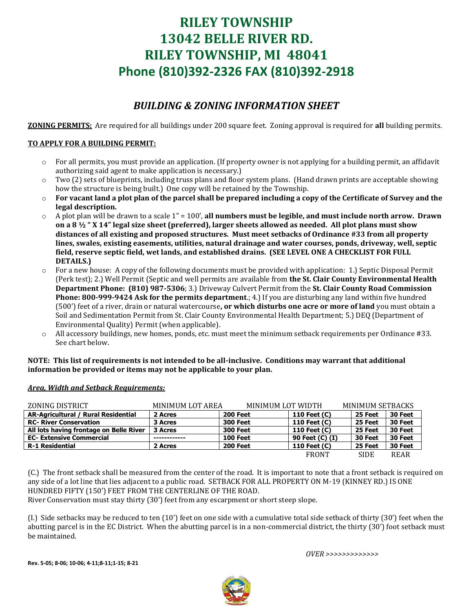# **RILEY TOWNSHIP 13042 BELLE RIVER RD. RILEY TOWNSHIP, MI 48041 Phone (810)392-2326 FAX (810)392-2918**

## *BUILDING & ZONING INFORMATION SHEET*

**ZONING PERMITS:** Are required for all buildings under 200 square feet. Zoning approval is required for **all** building permits.

### **TO APPLY FOR A BUILDING PERMIT:**

- $\circ$  For all permits, you must provide an application. (If property owner is not applying for a building permit, an affidavit authorizing said agent to make application is necessary.)
- $\circ$  Two (2) sets of blueprints, including truss plans and floor system plans. (Hand drawn prints are acceptable showing how the structure is being built.) One copy will be retained by the Township.
- o **For vacant land a plot plan of the parcel shall be prepared including a copy of the Certificate of Survey and the legal description.**
- o A plot plan will be drawn to a scale 1" = 100', **all numbers must be legible, and must include north arrow. Drawn on a 8 ½ " X 14" legal size sheet (preferred), larger sheets allowed as needed. All plot plans must show distances of all existing and proposed structures. Must meet setbacks of Ordinance #33 from all property lines, swales, existing easements, utilities, natural drainage and water courses, ponds, driveway, well, septic field, reserve septic field, wet lands, and established drains. (SEE LEVEL ONE A CHECKLIST FOR FULL DETAILS.)**
- For a new house: A copy of the following documents must be provided with application: 1.) Septic Disposal Permit (Perk test); 2.) Well Permit (Septic and well permits are available from **the St. Clair County Environmental Health Department Phone: (810) 987-5306**; 3.) Driveway Culvert Permit from the **St. Clair County Road Commission Phone: 800-999-9424 Ask for the permits department**.; 4.) If you are disturbing any land within five hundred (500') feet of a river, drain or natural watercourse**, or which disturbs one acre or more of land** you must obtain a Soil and Sedimentation Permit from St. Clair County Environmental Health Department; 5.) DEQ (Department of Environmental Quality) Permit (when applicable).
- o All accessory buildings, new homes, ponds, etc. must meet the minimum setback requirements per Ordinance #33. See chart below.

#### **NOTE: This list of requirements is not intended to be all-inclusive. Conditions may warrant that additional information be provided or items may not be applicable to your plan.**

| ZONING DISTRICT                         | MINIMUM LOT AREA | MINIMUM LOT WIDTH |                 | MINIMUM SETBACKS |         |
|-----------------------------------------|------------------|-------------------|-----------------|------------------|---------|
| AR-Agricultural / Rural Residential     | 2 Acres          | <b>200 Feet</b>   | 110 Feet (C)    | 25 Feet          | 30 Feet |
| <b>RC- River Conservation</b>           | 3 Acres          | <b>300 Feet</b>   | 110 Feet (C)    | 25 Feet          | 30 Feet |
| All lots having frontage on Belle River | 3 Acres          | <b>300 Feet</b>   | 110 Feet (C)    | 25 Feet          | 30 Feet |
| <b>EC- Extensive Commercial</b>         |                  | <b>100 Feet</b>   | 90 Feet (C) (I) | 30 Feet          | 30 Feet |
| <b>R-1 Residential</b>                  | 2 Acres          | <b>200 Feet</b>   | 110 Feet (C)    | 25 Feet          | 30 Feet |
|                                         |                  |                   | <b>FRONT</b>    | <b>SIDE</b>      | REAR    |

### *Area, Width and Setback Requirements:*

(C.) The front setback shall be measured from the center of the road. It is important to note that a front setback is required on any side of a lot line that lies adjacent to a public road. SETBACK FOR ALL PROPERTY ON M-19 (KINNEY RD.) IS ONE HUNDRED FIFTY (150') FEET FROM THE CENTERLINE OF THE ROAD.

River Conservation must stay thirty (30') feet from any escarpment or short steep slope.

(I.) Side setbacks may be reduced to ten (10') feet on one side with a cumulative total side setback of thirty (30') feet when the abutting parcel is in the EC District. When the abutting parcel is in a non-commercial district, the thirty (30') foot setback must be maintained.